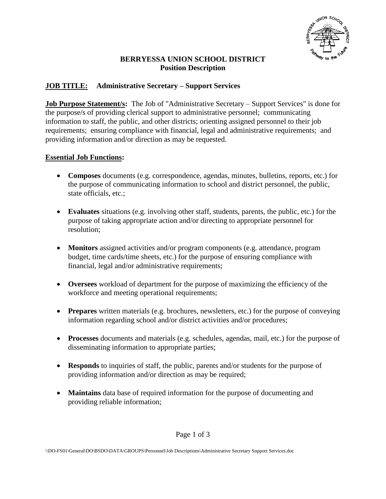

## **BERRYESSA UNION SCHOOL DISTRICT Position Description**

# **JOB TITLE: Administrative Secretary – Support Services**

**Job Purpose Statement/s:** The Job of "Administrative Secretary – Support Services" is done for the purpose/s of providing clerical support to administrative personnel; communicating information to staff, the public, and other districts; orienting assigned personnel to their job requirements; ensuring compliance with financial, legal and administrative requirements; and providing information and/or direction as may be requested.

#### **Essential Job Functions:**

- **Composes** documents (e.g. correspondence, agendas, minutes, bulletins, reports, etc.) for the purpose of communicating information to school and district personnel, the public, state officials, etc.;
- **Evaluates** situations (e.g. involving other staff, students, parents, the public, etc.) for the purpose of taking appropriate action and/or directing to appropriate personnel for resolution;
- **Monitors** assigned activities and/or program components (e.g. attendance, program budget, time cards/time sheets, etc.) for the purpose of ensuring compliance with financial, legal and/or administrative requirements;
- **Oversees** workload of department for the purpose of maximizing the efficiency of the workforce and meeting operational requirements;
- **Prepares** written materials (e.g. brochures, newsletters, etc.) for the purpose of conveying information regarding school and/or district activities and/or procedures;
- **Processes** documents and materials (e.g. schedules, agendas, mail, etc.) for the purpose of disseminating information to appropriate parties;
- **Responds** to inquiries of staff, the public, parents and/or students for the purpose of providing information and/or direction as may be required;
- **Maintains** data base of required information for the purpose of documenting and providing reliable information;

Page 1 of 3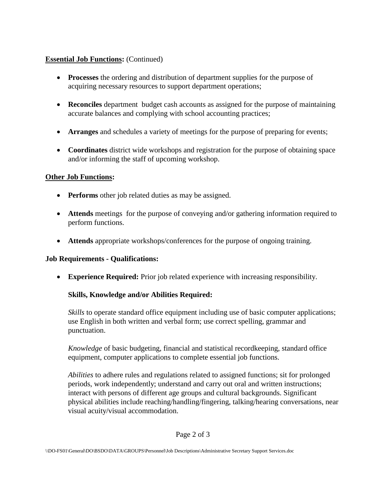### **Essential Job Functions:** (Continued)

- **Processes** the ordering and distribution of department supplies for the purpose of acquiring necessary resources to support department operations;
- **Reconciles** department budget cash accounts as assigned for the purpose of maintaining accurate balances and complying with school accounting practices;
- **Arranges** and schedules a variety of meetings for the purpose of preparing for events;
- **Coordinates** district wide workshops and registration for the purpose of obtaining space and/or informing the staff of upcoming workshop.

#### **Other Job Functions:**

- **Performs** other job related duties as may be assigned.
- **Attends** meetings for the purpose of conveying and/or gathering information required to perform functions.
- **Attends** appropriate workshops/conferences for the purpose of ongoing training.

## **Job Requirements - Qualifications:**

**Experience Required:** Prior job related experience with increasing responsibility.

## **Skills, Knowledge and/or Abilities Required:**

*Skills* to operate standard office equipment including use of basic computer applications; use English in both written and verbal form; use correct spelling, grammar and punctuation.

*Knowledge* of basic budgeting, financial and statistical recordkeeping, standard office equipment, computer applications to complete essential job functions.

*Abilities* to adhere rules and regulations related to assigned functions; sit for prolonged periods, work independently; understand and carry out oral and written instructions; interact with persons of different age groups and cultural backgrounds. Significant physical abilities include reaching/handling/fingering, talking/hearing conversations, near visual acuity/visual accommodation.